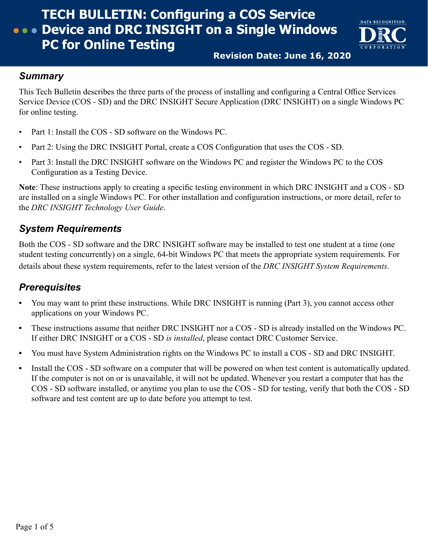

**Revision Date: June 16, 2020**

#### *Summary*

This Tech Bulletin describes the three parts of the process of installing and configuring a Central Office Services Service Device (COS - SD) and the DRC INSIGHT Secure Application (DRC INSIGHT) on a single Windows PC for online testing.

- Part 1: Install the COS SD software on the Windows PC.
- Part 2: Using the DRC INSIGHT Portal, create a COS Configuration that uses the COS SD.
- Part 3: Install the DRC INSIGHT software on the Windows PC and register the Windows PC to the COS Configuration as a Testing Device.

**Note**: These instructions apply to creating a specific testing environment in which DRC INSIGHT and a COS - SD are installed on a single Windows PC. For other installation and configuration instructions, or more detail, refer to the *DRC INSIGHT Technology User Guide*.

## *System Requirements*

Both the COS - SD software and the DRC INSIGHT software may be installed to test one student at a time (one student testing concurrently) on a single, 64-bit Windows PC that meets the appropriate system requirements. For details about these system requirements, refer to the latest version of the *DRC INSIGHT System Requirements*.

## *Prerequisites*

- **•** You may want to print these instructions. While DRC INSIGHT is running (Part 3), you cannot access other applications on your Windows PC.
- **•** These instructions assume that neither DRC INSIGHT nor a COS SD is already installed on the Windows PC. If either DRC INSIGHT or a COS - SD *is installed*, please contact DRC Customer Service.
- **•** You must have System Administration rights on the Windows PC to install a COS SD and DRC INSIGHT.
- **•** Install the COS SD software on a computer that will be powered on when test content is automatically updated. If the computer is not on or is unavailable, it will not be updated. Whenever you restart a computer that has the COS - SD software installed, or anytime you plan to use the COS - SD for testing, verify that both the COS - SD software and test content are up to date before you attempt to test.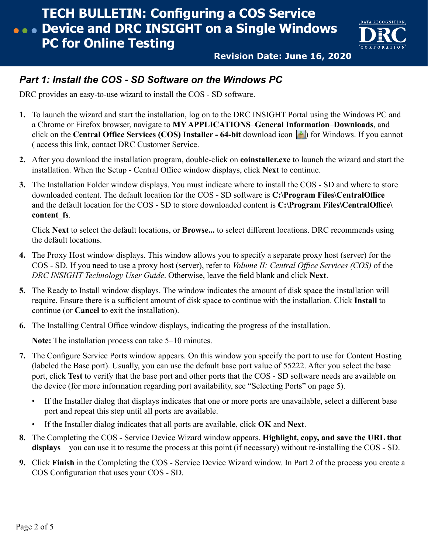

**Revision Date: June 16, 2020**

### *Part 1: Install the COS - SD Software on the Windows PC*

DRC provides an easy-to-use wizard to install the COS - SD software.

- **1.** To launch the wizard and start the installation, log on to the DRC INSIGHT Portal using the Windows PC and a Chrome or Firefox browser, navigate to **MY APPLICATIONS**–**General Information**–**Downloads**, and click on the **Central Office Services (COS) Installer - 64-bit** download icon ) for Windows. If you cannot ( access this link, contact DRC Customer Service.
- **2.** After you download the installation program, double-click on **coinstaller.exe** to launch the wizard and start the installation. When the Setup - Central Office window displays, click **Next** to continue.
- **3.** The Installation Folder window displays. You must indicate where to install the COS SD and where to store downloaded content. The default location for the COS - SD software is **C:\Program Files\CentralOffice** and the default location for the COS - SD to store downloaded content is **C:\Program Files\CentralOffice\ content\_fs**.

Click **Next** to select the default locations, or **Browse...** to select different locations. DRC recommends using the default locations.

- **4.** The Proxy Host window displays. This window allows you to specify a separate proxy host (server) for the COS - SD. If you need to use a proxy host (server), refer to *Volume II: Central Office Services (COS)* of the *DRC INSIGHT Technology User Guide*. Otherwise, leave the field blank and click **Next**.
- **5.** The Ready to Install window displays. The window indicates the amount of disk space the installation will require. Ensure there is a sufficient amount of disk space to continue with the installation. Click **Install** to continue (or **Cancel** to exit the installation).
- **6.** The Installing Central Office window displays, indicating the progress of the installation.

**Note:** The installation process can take 5–10 minutes.

- **7.** The Configure Service Ports window appears. On this window you specify the port to use for Content Hosting (labeled the Base port). Usually, you can use the default base port value of 55222. After you select the base port, click **Test** to verify that the base port and other ports that the COS - SD software needs are available on the device (for more information regarding port availability, see ["Selecting Ports" on page 5](#page-4-0)).
	- If the Installer dialog that displays indicates that one or more ports are unavailable, select a different base port and repeat this step until all ports are available.
	- If the Installer dialog indicates that all ports are available, click **OK** and **Next**.
- **8.** The Completing the COS Service Device Wizard window appears. **Highlight, copy, and save the URL that displays**—you can use it to resume the process at this point (if necessary) without re‑installing the COS - SD.
- **9.** Click **Finish** in the Completing the COS Service Device Wizard window. In Part 2 of the process you create a COS Configuration that uses your COS - SD.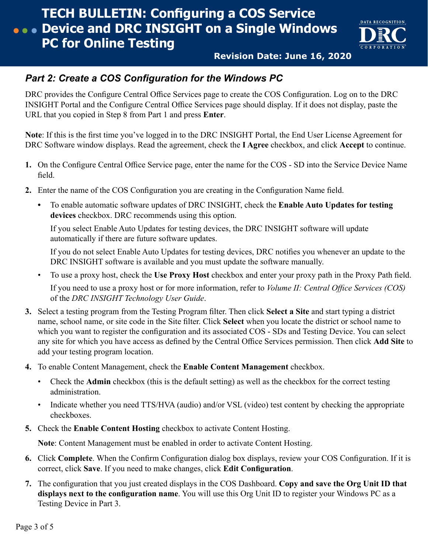

**Revision Date: June 16, 2020**

### *Part 2: Create a COS Configuration for the Windows PC*

DRC provides the Configure Central Office Services page to create the COS Configuration. Log on to the DRC INSIGHT Portal and the Configure Central Office Services page should display. If it does not display, paste the URL that you copied in Step 8 from Part 1 and press **Enter**.

**Note**: If this is the first time you've logged in to the DRC INSIGHT Portal, the End User License Agreement for DRC Software window displays. Read the agreement, check the **I Agree** checkbox, and click **Accept** to continue.

- **1.** On the Configure Central Office Service page, enter the name for the COS SD into the Service Device Name field.
- **2.** Enter the name of the COS Configuration you are creating in the Configuration Name field.
	- **•** To enable automatic software updates of DRC INSIGHT, check the **Enable Auto Updates for testing devices** checkbox. DRC recommends using this option.

If you select Enable Auto Updates for testing devices, the DRC INSIGHT software will update automatically if there are future software updates.

If you do not select Enable Auto Updates for testing devices, DRC notifies you whenever an update to the DRC INSIGHT software is available and you must update the software manually.

• To use a proxy host, check the **Use Proxy Host** checkbox and enter your proxy path in the Proxy Path field.

If you need to use a proxy host or for more information, refer to *Volume II: Central Office Services (COS)* of the *DRC INSIGHT Technology User Guide*.

- **3.** Select a testing program from the Testing Program filter. Then click **Select a Site** and start typing a district name, school name, or site code in the Site filter. Click **Select** when you locate the district or school name to which you want to register the configuration and its associated COS - SDs and Testing Device. You can select any site for which you have access as defined by the Central Office Services permission. Then click **Add Site** to add your testing program location.
- **4.** To enable Content Management, check the **Enable Content Management** checkbox.
	- Check the **Admin** checkbox (this is the default setting) as well as the checkbox for the correct testing administration.
	- Indicate whether you need TTS/HVA (audio) and/or VSL (video) test content by checking the appropriate checkboxes.
- **5.** Check the **Enable Content Hosting** checkbox to activate Content Hosting.

**Note**: Content Management must be enabled in order to activate Content Hosting.

- **6.** Click **Complete**. When the Confirm Configuration dialog box displays, review your COS Configuration. If it is correct, click **Save**. If you need to make changes, click **Edit Configuration**.
- **7.** The configuration that you just created displays in the COS Dashboard. **Copy and save the Org Unit ID that displays next to the configuration name**. You will use this Org Unit ID to register your Windows PC as a Testing Device in Part 3.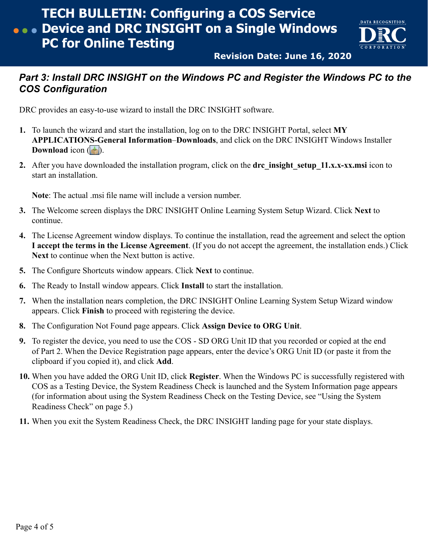

**Revision Date: June 16, 2020**

### **Part 3: Install DRC INSIGHT on the Windows PC and Register the Windows PC to the** *COS Configuration*

DRC provides an easy-to-use wizard to install the DRC INSIGHT software.

- **1.** To launch the wizard and start the installation, log on to the DRC INSIGHT Portal, select **MY APPLICATIONS-General Information**–**Downloads**, and click on the DRC INSIGHT Windows Installer **Download** icon  $(| \cdot |)$ .
- 2. After you have downloaded the installation program, click on the **drc** insight setup 11.x.x-xx.msi icon to start an installation.

**Note**: The actual .msi file name will include a version number.

- **3.** The Welcome screen displays the DRC INSIGHT Online Learning System Setup Wizard. Click **Next** to continue.
- **4.** The License Agreement window displays. To continue the installation, read the agreement and select the option **I accept the terms in the License Agreement**. (If you do not accept the agreement, the installation ends.) Click **Next** to continue when the Next button is active.
- **5.** The Configure Shortcuts window appears. Click **Next** to continue.
- **6.** The Ready to Install window appears. Click **Install** to start the installation.
- **7.** When the installation nears completion, the DRC INSIGHT Online Learning System Setup Wizard window appears. Click **Finish** to proceed with registering the device.
- **8.** The Configuration Not Found page appears. Click **Assign Device to ORG Unit**.
- **9.** To register the device, you need to use the COS SD ORG Unit ID that you recorded or copied at the end of Part 2. When the Device Registration page appears, enter the device's ORG Unit ID (or paste it from the clipboard if you copied it), and click **Add**.
- **10.** When you have added the ORG Unit ID, click **Register**. When the Windows PC is successfully registered with COS as a Testing Device, the System Readiness Check is launched and the System Information page appears (for information about using the System Readiness Check on the Testing Device, see ["Using the System](#page-4-1) [Readiness Check" on page 5.](#page-4-1))
- **11.** When you exit the System Readiness Check, the DRC INSIGHT landing page for your state displays.